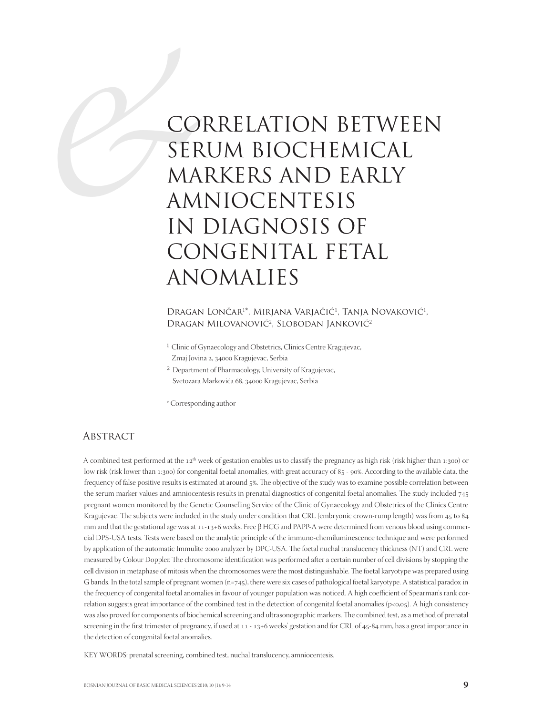# CO<br>
SER<br>
MA<br>
AM<br>
AM<br>
IN<br>
CO CORRELATION BETWEEN SERUM BIOCHEMICAL MARKERS AND EARLY AMNIOCENTESIS IN DIAGNOSIS OF CONGENITAL FETAL ANOMALIES

Dragan Lončar<sup>1\*</sup>, Mirjana Varjačić<sup>1</sup>, Tanja Novaković<sup>1</sup>, Dragan Milovanović<sup>2</sup>, Slobodan Janković<sup>2</sup>

- 1 Clinic of Gynaecology and Obstetrics, Clinics Centre Kragujevac,
- Zmaj Jovina 2, 34000 Kragujevac, Serbia
- 2 Department of Pharmacology, University of Kragujevac, Svetozara Markovića 68, 34000 Kragujevac, Serbia

\* Corresponding author

### **ABSTRACT**

A combined test performed at the  $12<sup>th</sup>$  week of gestation enables us to classify the pregnancy as high risk (risk higher than  $1:300$ ) or low risk (risk lower than 1:300) for congenital foetal anomalies, with great accuracy of 85 - 90%. According to the available data, the frequency of false positive results is estimated at around  $5\%$ . The objective of the study was to examine possible correlation between the serum marker values and amniocentesis results in prenatal diagnostics of congenital foetal anomalies. The study included 745 pregnant women monitored by the Genetic Counselling Service of the Clinic of Gynaecology and Obstetrics of the Clinics Centre Kragujevac. The subjects were included in the study under condition that CRL (embryonic crown-rump length) was from 45 to 84 mm and that the gestational age was at 11-13+6 weeks. Free β HCG and PAPP-A were determined from venous blood using commercial DPS-USA tests. Tests were based on the analytic principle of the immuno-chemiluminescence technique and were performed by application of the automatic Immulite 2000 analyzer by DPC-USA. The foetal nuchal translucency thickness (NT) and CRL were measured by Colour Doppler. The chromosome identification was performed after a certain number of cell divisions by stopping the cell division in metaphase of mitosis when the chromosomes were the most distinguishable. The foetal karyotype was prepared using G bands. In the total sample of pregnant women  $(n=745)$ , there were six cases of pathological foetal karyotype. A statistical paradox in the frequency of congenital foetal anomalies in favour of younger population was noticed. A high coefficient of Spearman's rank correlation suggests great importance of the combined test in the detection of congenital foetal anomalies (p<0,05). A high consistency was also proved for components of biochemical screening and ultrasonographic markers. The combined test, as a method of prenatal screening in the first trimester of pregnancy, if used at 11 - 13+6 weeks' gestation and for CRL of 45-84 mm, has a great importance in the detection of congenital foetal anomalies.

KEY WORDS: prenatal screening, combined test, nuchal translucency, amniocentesis.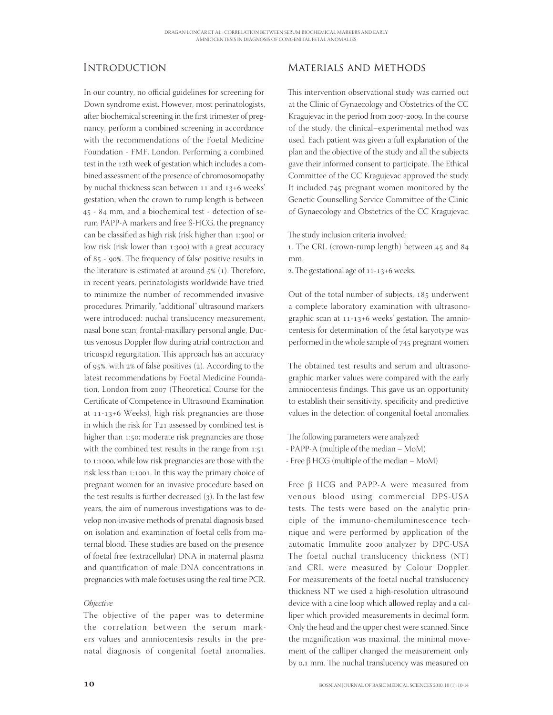## **INTRODUCTION**

In our country, no official guidelines for screening for Down syndrome exist. However, most perinatologists, after biochemical screening in the first trimester of pregnancy, perform a combined screening in accordance with the recommendations of the Foetal Medicine Foundation - FMF, London. Performing a combined test in the 12th week of gestation which includes a combined assessment of the presence of chromosomopathy by nuchal thickness scan between 11 and 13+6 weeks' gestation, when the crown to rump length is between 45 - 84 mm, and a biochemical test - detection of serum PAPP-A markers and free ß-HCG, the pregnancy can be classified as high risk (risk higher than 1:300) or low risk (risk lower than 1:300) with a great accuracy of  $85 - 90\%$ . The frequency of false positive results in the literature is estimated at around  $5\%$  (1). Therefore, in recent years, perinatologists worldwide have tried to minimize the number of recommended invasive procedures. Primarily, "additional" ultrasound markers were introduced: nuchal translucency measurement, nasal bone scan, frontal-maxillary personal angle, Ductus venosus Doppler flow during atrial contraction and tricuspid regurgitation. This approach has an accuracy of 95%, with  $2\%$  of false positives (2). According to the latest recommendations by Foetal Medicine Foundation, London from 2007 (Theoretical Course for the Certificate of Competence in Ultrasound Examination at  $11-13+6$  Weeks), high risk pregnancies are those in which the risk for  $T_{21}$  assessed by combined test is higher than 1:50; moderate risk pregnancies are those with the combined test results in the range from  $1:51$ to 1:1000, while low risk pregnancies are those with the risk less than 1:1001. In this way the primary choice of pregnant women for an invasive procedure based on the test results is further decreased  $(3)$ . In the last few years, the aim of numerous investigations was to develop non-invasive methods of prenatal diagnosis based on isolation and examination of foetal cells from maternal blood. These studies are based on the presence of foetal free (extracellular) DNA in maternal plasma and quantification of male DNA concentrations in pregnancies with male foetuses using the real time PCR.

#### **Objective**

The objective of the paper was to determine the correlation between the serum markers values and amniocentesis results in the prenatal diagnosis of congenital foetal anomalies.

## Materials and Methods

This intervention observational study was carried out at the Clinic of Gynaecology and Obstetrics of the CC Kragujevac in the period from 2007-2009. In the course of the study, the clinical–experimental method was used. Each patient was given a full explanation of the plan and the objective of the study and all the subjects gave their informed consent to participate. The Ethical Committee of the CC Kragujevac approved the study. It included 745 pregnant women monitored by the Genetic Counselling Service Committee of the Clinic of Gynaecology and Obstetrics of the CC Kragujevac.

The study inclusion criteria involved:

1. The CRL (crown-rump length) between 45 and 84 mm.

2. The gestational age of  $11 - 13 + 6$  weeks.

Out of the total number of subjects, 185 underwent a complete laboratory examination with ultrasonographic scan at  $11-13+6$  weeks' gestation. The amniocentesis for determination of the fetal karyotype was performed in the whole sample of 745 pregnant women.

The obtained test results and serum and ultrasonographic marker values were compared with the early amniocentesis findings. This gave us an opportunity to establish their sensitivity, specificity and predictive values in the detection of congenital foetal anomalies.

The following parameters were analyzed:

- PAPP-A (multiple of the median – MoM)

- Free β HCG (multiple of the median – MoM)

Free β HCG and PAPP-A were measured from venous blood using commercial DPS-USA tests. The tests were based on the analytic principle of the immuno-chemiluminescence technique and were performed by application of the automatic Immulite 2000 analyzer by DPC-USA The foetal nuchal translucency thickness (NT) and CRL were measured by Colour Doppler. For measurements of the foetal nuchal translucency thickness NT we used a high-resolution ultrasound device with a cine loop which allowed replay and a calliper which provided measurements in decimal form. Only the head and the upper chest were scanned. Since the magnification was maximal, the minimal movement of the calliper changed the measurement only by 0,1 mm. The nuchal translucency was measured on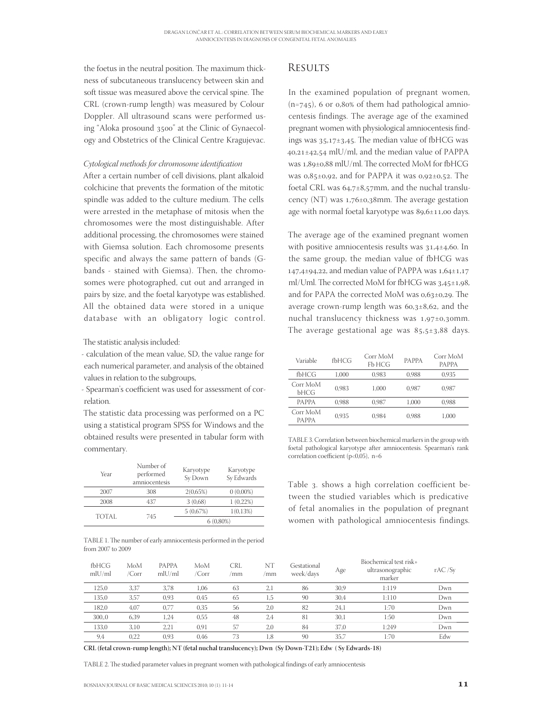the foetus in the neutral position. The maximum thickness of subcutaneous translucency between skin and soft tissue was measured above the cervical spine. The CRL (crown-rump length) was measured by Colour Doppler. All ultrasound scans were performed using "Aloka prosound 3500" at the Clinic of Gynaecology and Obstetrics of the Clinical Centre Kragujevac.

#### Cytological methods for chromosome identification

After a certain number of cell divisions, plant alkaloid colchicine that prevents the formation of the mitotic spindle was added to the culture medium. The cells were arrested in the metaphase of mitosis when the chromosomes were the most distinguishable. After additional processing, the chromosomes were stained with Giemsa solution. Each chromosome presents specific and always the same pattern of bands (Gbands - stained with Giemsa). Then, the chromosomes were photographed, cut out and arranged in pairs by size, and the foetal karyotype was established. All the obtained data were stored in a unique database with an obligatory logic control.

The statistic analysis included:

- calculation of the mean value, SD, the value range for each numerical parameter, and analysis of the obtained values in relation to the subgroups,

- Spearman's coefficient was used for assessment of correlation.

The statistic data processing was performed on a PC using a statistical program SPSS for Windows and the obtained results were presented in tabular form with commentary.

| Year         | Number of<br>performed<br>amniocentesis | Karyotype<br>Sy Down | Karyotype<br>Sy Edwards |
|--------------|-----------------------------------------|----------------------|-------------------------|
| 2007         | 308                                     | 2(0.65%)             | $0(0,00\%)$             |
| 2008         | 437                                     | 3(0,68)              | $1(0,22\%)$             |
|              |                                         | 5(0.67%)             | 1(0.13%)                |
| <b>TOTAL</b> | 745                                     |                      | $6(0,80\%)$             |

TABLE 1. The number of early amniocentesis performed in the period from 2007 to 2009

#### **RESULTS**

In the examined population of pregnant women,  $(n=745)$ , 6 or 0,80% of them had pathological amniocentesis findings. The average age of the examined pregnant women with physiological amniocentesis findings was  $35,17\pm 3,45$ . The median value of fbHCG was  $40,21\pm42,54$  mlU/ml, and the median value of PAPPA was 1,89±0,88 mlU/ml. The corrected MoM for fbHCG was  $0.85\pm0.92$ , and for PAPPA it was  $0.92\pm0.52$ . The foetal CRL was  $64,7\pm8,57$ mm, and the nuchal translucency (NT) was  $1,76\pm0,38$ mm. The average gestation age with normal foetal karyotype was  $89,6±11,00$  days.

The average age of the examined pregnant women with positive amniocentesis results was  $31,4\pm 4,60$ . In the same group, the median value of fbHCG was  $147,4\pm 94,22$ , and median value of PAPPA was  $1,64\pm 1,17$ ml/Uml. The corrected MoM for fbHCG was  $3,45\pm1,98$ , and for PAPA the corrected MoM was  $0.63\pm0.29$ . The average crown-rump length was  $60,3\pm8,62$ , and the nuchal translucency thickness was  $1,97\pm0,30$ mm. The average gestational age was  $85.5 \pm 3.88$  days.

| Variable                 | fbHCG | Corr MoM<br>Fb HCG | <b>PAPPA</b> | Corr MoM<br><b>PAPPA</b> |
|--------------------------|-------|--------------------|--------------|--------------------------|
| fbHCG                    | 1.000 | 0.983              | 0.988        | 0.935                    |
| Corr MoM<br><b>bHCG</b>  | 0.983 | 1.000              | 0.987        | 0.987                    |
| <b>PAPPA</b>             | 0.988 | 0.987              | 1.000        | 0.988                    |
| Corr MoM<br><b>PAPPA</b> | 0.935 | 0.984              | 0.988        | 1.000                    |

TABLE 3. Correlation between biochemical markers in the group with foetal pathological karyotype after amniocentesis. Spearman's rank correlation coefficient (p<0,05),  $n=6$ 

Table 3. shows a high correlation coefficient between the studied variables which is predicative of fetal anomalies in the population of pregnant women with pathological amniocentesis findings.

| fbHCG<br>$m$ l $U/m$ l | MoM<br>/Corr | <b>PAPPA</b><br>mlU/ml | MoM<br>/Corr | CRL<br>mm | NT<br>/mm | Gestational<br>week/days | Age  | Biochemical test risk+<br>ultrasonographic<br>marker | rAC/Sy |
|------------------------|--------------|------------------------|--------------|-----------|-----------|--------------------------|------|------------------------------------------------------|--------|
| 125,0                  | 3.37         | 3,78                   | 1.06         | 63        | 2,1       | 86                       | 30,9 | 1:119                                                | Dwn    |
| 135,0                  | 3,57         | 0,93                   | 0.45         | 65        | 1,5       | 90                       | 30,4 | 1:110                                                | Dwn    |
| 182,0                  | 4,07         | 0,77                   | 0,35         | 56        | 2,0       | 82                       | 24,1 | 1:70                                                 | Dwn    |
| 300.0                  | 6.39         | 1,24                   | 0,55         | 48        | 2,4       | 81                       | 30,1 | 1:50                                                 | Dwn    |
| 133,0                  | 3.10         | 2,21                   | 0.91         | 57        | 2,0       | 84                       | 37,0 | 1:249                                                | Dwn    |
| 9,4                    | 0.22         | 0.93                   | 0.46         | 73        | 1.8       | 90                       | 35.7 | 1:70                                                 | Edw    |

**CRL (fetal crown-rump length); NT (fetal nuchal translucency); Dwn (Sy Down-T21); Edw ( Sy Edwards-18)**

TABLE 2. The studied parameter values in pregnant women with pathological findings of early amniocentesis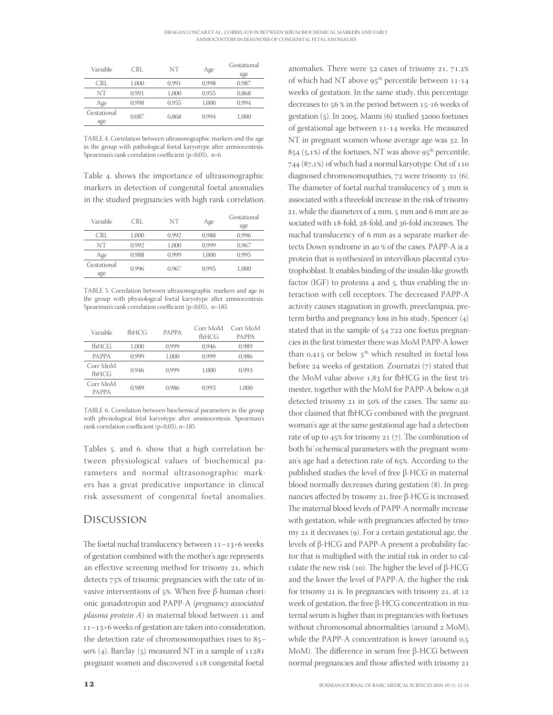| Variable    | CRL   | NT    | Age   | Gestational |  |
|-------------|-------|-------|-------|-------------|--|
|             |       |       |       | age         |  |
| CRL         | 1.000 | 0.991 | 0.998 | 0.987       |  |
| NT          | 0.991 | 1.000 | 0.955 | 0.868       |  |
| Age         | 0.998 | 0.955 | 1.000 | 0.994       |  |
| Gestational | 0.087 | 0,868 | 0.994 | 1.000       |  |
| age         |       |       |       |             |  |

TABLE 4. Correlation between ultrasonographic markers and the age in the group with pathological foetal karyotype after amniocentesis. Spearman's rank correlation coefficient (p<0,05),  $n=6$ 

Table 4. shows the importance of ultrasonographic markers in detection of congenital foetal anomalies in the studied pregnancies with high rank correlation.

| Variable           | CRL   | NT    | Age   | Gestational<br>age |
|--------------------|-------|-------|-------|--------------------|
| CRL                | 1.000 | 0.992 | 0.988 | 0.996              |
| NT                 | 0.992 | 1.000 | 0.999 | 0.967              |
| Age                | 0.988 | 0.999 | 1.000 | 0.995              |
| Gestational<br>age | 0.996 | 0.967 | 0.995 | 1.000              |

TABLE 5. Correlation between ultrasonographic markers and age in the group with physiological foetal karyotype after amniocentesis. Spearman's rank correlation coefficient (p<0,05), n=185

| Variable                 | fbHCG | <b>PAPPA</b> | Corr MoM<br>fbHCG | Corr MoM<br><b>PAPPA</b> |
|--------------------------|-------|--------------|-------------------|--------------------------|
| fbHCG                    | 1.000 | 0.999        | 0.946             | 0.989                    |
| <b>PAPPA</b>             | 0.999 | 1.000        | 0.999             | 0.986                    |
| Corr MoM<br>fbHCG        | 0.946 | 0.999        | 1.000             | 0.993                    |
| Corr MoM<br><b>PAPPA</b> | 0.989 | 0.986        | 0.993             | 1.000                    |

TABLE 6. Correlation between biochemical parameters in the group with physiological fetal karyotype after amniocentesis. Spearman's rank correlation coefficient (p<0,05), n=185

Tables 5. and 6. show that a high correlation between physiological values of biochemical parameters and normal ultrasonographic markers has a great predicative importance in clinical risk assessment of congenital foetal anomalies.

#### Discussion

The foetal nuchal translucency between  $11-13+6$  weeks of gestation combined with the mother's age represents an effective screening method for trisomy 21, which detects 75% of trisomic pregnancies with the rate of invasive interventions of  $5$ %. When free β-human chorionic gonadotropin and PAPP-A (pregnancy associated  $plasma protein A)$  in maternal blood between 11 and  $11 - 13 + 6$  weeks of gestation are taken into consideration, the detection rate of chromosomopathies rises to  $85 90\%$  (4). Barclay (5) measured NT in a sample of  $11281$ pregnant women and discovered 118 congenital foetal

anomalies. There were  $52$  cases of trisomy  $21, 71.2\%$ of which had NT above  $95<sup>th</sup>$  percentile between 11-14 weeks of gestation. In the same study, this percentage decreases to 56 % in the period between 15-16 weeks of gestation  $(5)$ . In 2005, Manni  $(6)$  studied 32000 foetuses of gestational age between 11-14 weeks. He measured NT in pregnant women whose average age was 32. In  $854$  (5,1%) of the foetuses, NT was above 95<sup>th</sup> percentile, 744 (87,1%) of which had a normal karyotype. Out of 110 diagnosed chromosomopathies, 72 were trisomy 21 (6). The diameter of foetal nuchal translucency of 3 mm is associated with a threefold increase in the risk of trisomy 21, while the diameters of  $_4$  mm,  $_5$  mm and  $_6$  mm are associated with 18-fold, 28-fold, and 36-fold increases. The nuchal translucency of 6 mm as a separate marker detects Down syndrome in 40 % of the cases. PAPP-A is a protein that is synthesized in intervillous placental cytotrophoblast. It enables binding of the insulin-like growth factor (IGF) to proteins  $4$  and  $5$ , thus enabling the interaction with cell receptors. The decreased PAPP-A activity causes stagnation in growth, preeclampsia, preterm births and pregnancy loss in his study, Spencer  $(4)$ stated that in the sample of  $54$   $722$  one foetus pregnancies in the first trimester there was MoM PAPP-A lower than  $0.415$  or below  $5<sup>th</sup>$  which resulted in foetal loss before 24 weeks of gestation. Zournatzi  $(7)$  stated that the MoM value above 1,83 for fbHCG in the first trimester, together with the MoM for PAPP-A below 0,38 detected trisomy 21 in 50% of the cases. The same author claimed that fbHCG combined with the pregnant woman's age at the same gestational age had a detection rate of up to  $45\%$  for trisomy 21 (7). The combination of both bi˝ochemical parameters with the pregnant woman's age had a detection rate of 65%. According to the published studies the level of free β-HCG in maternal blood normally decreases during gestation (8). In pregnancies affected by trisomy 21, free β-HCG is increased. The maternal blood levels of PAPP-A normally increase with gestation, while with pregnancies affected by trisomy  $21$  it decreases (9). For a certain gestational age, the levels of β-HCG and PAPP-A present a probability factor that is multiplied with the initial risk in order to calculate the new risk (10). The higher the level of β-HCG and the lower the level of PAPP-A, the higher the risk for trisomy  $21$  is. In pregnancies with trisomy  $21$ , at  $12$ week of gestation, the free β-HCG concentration in maternal serum is higher than in pregnancies with foetuses without chromosomal abnormalities (around  $2 \text{ MoM}$ ), while the PAPP-A concentration is lower (around  $0.5$ )  $M<sub>o</sub>M$ ). The difference in serum free β-HCG between normal pregnancies and those affected with trisomy 21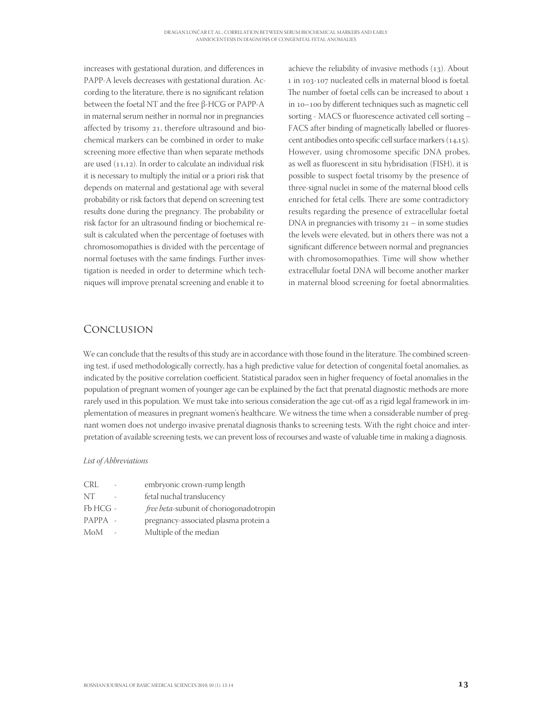increases with gestational duration, and differences in PAPP-A levels decreases with gestational duration. According to the literature, there is no significant relation between the foetal NT and the free β-HCG or PAPP-A in maternal serum neither in normal nor in pregnancies affected by trisomy 21, therefore ultrasound and biochemical markers can be combined in order to make screening more effective than when separate methods are used  $(11,12)$ . In order to calculate an individual risk it is necessary to multiply the initial or a priori risk that depends on maternal and gestational age with several probability or risk factors that depend on screening test results done during the pregnancy. The probability or risk factor for an ultrasound finding or biochemical result is calculated when the percentage of foetuses with chromosomopathies is divided with the percentage of normal foetuses with the same findings. Further investigation is needed in order to determine which techniques will improve prenatal screening and enable it to

achieve the reliability of invasive methods  $(13)$ . About 1 in 103-107 nucleated cells in maternal blood is foetal. The number of foetal cells can be increased to about 1 in 10-100 by different techniques such as magnetic cell sorting - MACS or fluorescence activated cell sorting -FACS after binding of magnetically labelled or fluorescent antibodies onto specific cell surface markers  $(14.15)$ . However, using chromosome specific DNA probes, as well as fluorescent in situ hybridisation (FISH), it is possible to suspect foetal trisomy by the presence of three-signal nuclei in some of the maternal blood cells enriched for fetal cells. There are some contradictory results regarding the presence of extracellular foetal DNA in pregnancies with trisomy  $21 - in$  some studies the levels were elevated, but in others there was not a significant difference between normal and pregnancies with chromosomopathies. Time will show whether extracellular foetal DNA will become another marker in maternal blood screening for foetal abnormalities.

## Conclusion

We can conclude that the results of this study are in accordance with those found in the literature. The combined screening test, if used methodologically correctly, has a high predictive value for detection of congenital foetal anomalies, as indicated by the positive correlation coefficient. Statistical paradox seen in higher frequency of foetal anomalies in the population of pregnant women of younger age can be explained by the fact that prenatal diagnostic methods are more rarely used in this population. We must take into serious consideration the age cut-off as a rigid legal framework in implementation of measures in pregnant women's healthcare. We witness the time when a considerable number of pregnant women does not undergo invasive prenatal diagnosis thanks to screening tests. With the right choice and interpretation of available screening tests, we can prevent loss of recourses and waste of valuable time in making a diagnosis.

#### List of Abbreviations

| CRL       | embryonic crown-rump length                    |
|-----------|------------------------------------------------|
| NT        | fetal nuchal translucency                      |
| $FbHCG$ - | <i>free beta-subunit of choriogonadotropin</i> |
| $PAPPA =$ | pregnancy-associated plasma protein a          |
| MoM       | Multiple of the median                         |